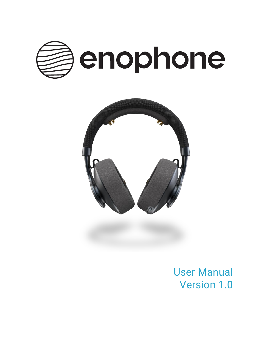



User Manual Version 1.0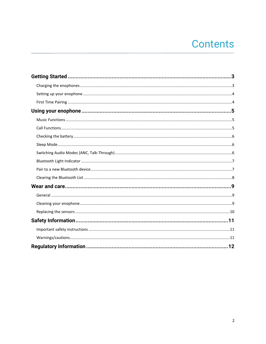# **Contents**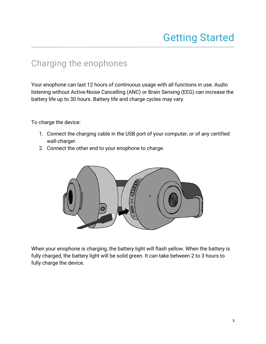# Getting Started

#### <span id="page-2-1"></span><span id="page-2-0"></span>Charging the enophones

Your enophone can last 12 hours of continuous usage with all functions in use. Audio listening without Active-Noise Cancelling (ANC) or Brain Sensing (EEG) can increase the battery life up to 30 hours. Battery life and charge cycles may vary.

To charge the device:

- 1. Connect the charging cable in the USB port of your computer, or of any certified wall-charger.
- 2. Connect the other end to your enophone to charge.



When your enophone is charging, the battery light will flash yellow. When the battery is fully charged, the battery light will be solid green. It can take between 2 to 3 hours to fully charge the device.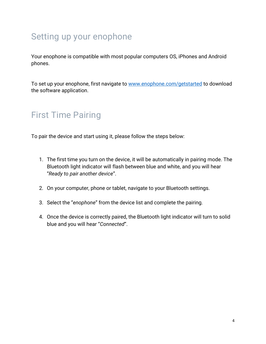## <span id="page-3-0"></span>Setting up your enophone

Your enophone is compatible with most popular computers OS, iPhones and Android phones.

To set up your enophone, first navigate to [www.enophone.com/getstarted](http://www.enophone.com/getstarted) to download the software application.

## <span id="page-3-1"></span>First Time Pairing

To pair the device and start using it, please follow the steps below:

- 1. The first time you turn on the device, it will be automatically in pairing mode. The Bluetooth light indicator will flash between blue and white, and you will hear "*Ready to pair another device*".
- 2. On your computer, phone or tablet, navigate to your Bluetooth settings.
- 3. Select the "*enophone*" from the device list and complete the pairing.
- 4. Once the device is correctly paired, the Bluetooth light indicator will turn to solid blue and you will hear "*Connected*".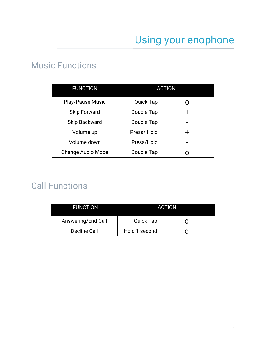### <span id="page-4-1"></span><span id="page-4-0"></span>Music Functions

| <b>FUNCTION</b>          | <b>ACTION</b>    |   |
|--------------------------|------------------|---|
| Play/Pause Music         | <b>Quick Tap</b> |   |
| <b>Skip Forward</b>      | Double Tap       | ┭ |
| <b>Skip Backward</b>     | Double Tap       |   |
| Volume up                | Press/Hold       | ┿ |
| Volume down              | Press/Hold       |   |
| <b>Change Audio Mode</b> | Double Tap       |   |

## <span id="page-4-2"></span>Call Functions

| <b>FUNCTION</b>    | <b>ACTION</b>    |     |
|--------------------|------------------|-----|
| Answering/End Call | <b>Quick Tap</b> | ( ) |
| Decline Call       | Hold 1 second    |     |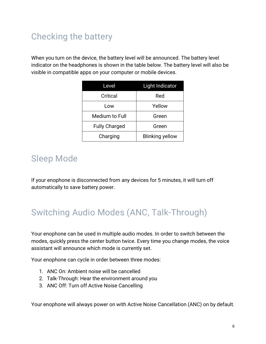## <span id="page-5-0"></span>Checking the battery

When you turn on the device, the battery level will be announced. The battery level indicator on the headphones is shown in the table below. The battery level will also be visible in compatible apps on your computer or mobile devices.

| Level                | <b>Light Indicator</b> |
|----------------------|------------------------|
| Critical             | Red                    |
| Low                  | Yellow                 |
| Medium to Full       | Green                  |
| <b>Fully Charged</b> | Green                  |
| Charging             | <b>Blinking yellow</b> |

### <span id="page-5-1"></span>Sleep Mode

If your enophone is disconnected from any devices for 5 minutes, it will turn off automatically to save battery power.

## <span id="page-5-2"></span>Switching Audio Modes (ANC, Talk-Through)

Your enophone can be used in multiple audio modes. In order to switch between the modes, quickly press the center button twice. Every time you change modes, the voice assistant will announce which mode is currently set.

Your enophone can cycle in order between three modes:

- 1. ANC On: Ambient noise will be cancelled
- 2. Talk-Through: Hear the environment around you
- 3. ANC Off: Turn off Active Noise Cancelling

Your enophone will always power on with Active Noise Cancellation (ANC) on by default.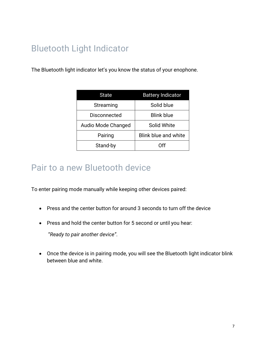## <span id="page-6-0"></span>Bluetooth Light Indicator

The Bluetooth light indicator let's you know the status of your enophone.

| State               | <b>Battery Indicator</b>    |
|---------------------|-----------------------------|
| Streaming           | Solid blue                  |
| <b>Disconnected</b> | <b>Blink blue</b>           |
| Audio Mode Changed  | Solid White                 |
| Pairing             | <b>Blink blue and white</b> |
| Stand-by            | ∩ff                         |

#### <span id="page-6-1"></span>Pair to a new Bluetooth device

To enter pairing mode manually while keeping other devices paired:

- Press and the center button for around 3 seconds to turn off the device
- Press and hold the center button for 5 second or until you hear:

"*Ready to pair another device"*.

• Once the device is in pairing mode, you will see the Bluetooth light indicator blink between blue and white.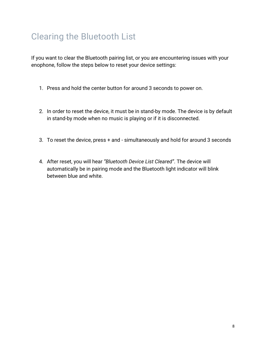## <span id="page-7-0"></span>Clearing the Bluetooth List

If you want to clear the Bluetooth pairing list, or you are encountering issues with your enophone, follow the steps below to reset your device settings:

- 1. Press and hold the center button for around 3 seconds to power on.
- 2. In order to reset the device, it must be in stand-by mode. The device is by default in stand-by mode when no music is playing or if it is disconnected.
- 3. To reset the device, press + and simultaneously and hold for around 3 seconds
- 4. After reset, you will hear *"Bluetooth Device List Cleared"*. The device will automatically be in pairing mode and the Bluetooth light indicator will blink between blue and white.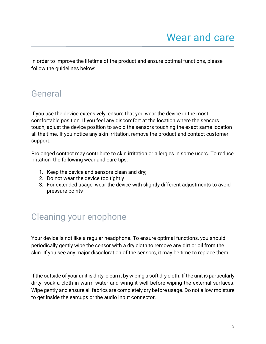<span id="page-8-0"></span>In order to improve the lifetime of the product and ensure optimal functions, please follow the guidelines below:

### <span id="page-8-1"></span>General

If you use the device extensively, ensure that you wear the device in the most comfortable position. If you feel any discomfort at the location where the sensors touch, adjust the device position to avoid the sensors touching the exact same location all the time. If you notice any skin irritation, remove the product and contact customer support.

Prolonged contact may contribute to skin irritation or allergies in some users. To reduce irritation, the following wear and care tips:

- 1. Keep the device and sensors clean and dry;
- 2. Do not wear the device too tightly
- 3. For extended usage, wear the device with slightly different adjustments to avoid pressure points

### <span id="page-8-2"></span>Cleaning your enophone

Your device is not like a regular headphone. To ensure optimal functions, you should periodically gently wipe the sensor with a dry cloth to remove any dirt or oil from the skin. If you see any major discoloration of the sensors, it may be time to replace them.

If the outside of your unit is dirty, clean it by wiping a soft dry cloth. If the unit is particularly dirty, soak a cloth in warm water and wring it well before wiping the external surfaces. Wipe gently and ensure all fabrics are completely dry before usage. Do not allow moisture to get inside the earcups or the audio input connector.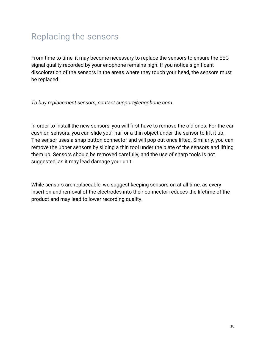## <span id="page-9-0"></span>Replacing the sensors

From time to time, it may become necessary to replace the sensors to ensure the EEG signal quality recorded by your enophone remains high. If you notice significant discoloration of the sensors in the areas where they touch your head, the sensors must be replaced.

*To buy replacement sensors, contact support@enophone.com.*

In order to install the new sensors, you will first have to remove the old ones. For the ear cushion sensors, you can slide your nail or a thin object under the sensor to lift it up. The sensor uses a snap button connector and will pop out once lifted. Similarly, you can remove the upper sensors by sliding a thin tool under the plate of the sensors and lifting them up. Sensors should be removed carefully, and the use of sharp tools is not suggested, as it may lead damage your unit.

While sensors are replaceable, we suggest keeping sensors on at all time, as every insertion and removal of the electrodes into their connector reduces the lifetime of the product and may lead to lower recording quality.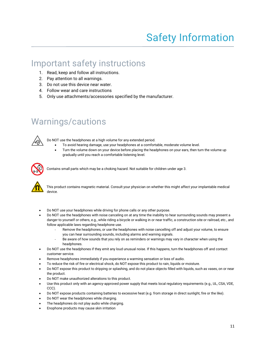#### <span id="page-10-1"></span><span id="page-10-0"></span>Important safety instructions

- 1. Read, keep and follow all instructions.
- 2. Pay attention to all warnings.
- 3. Do not use this device near water.
- 4. Follow wear and care instructions
- 5. Only use attachments/accessories specified by the manufacturer.

### <span id="page-10-2"></span>Warnings/cautions



Do NOT use the headphones at a high volume for any extended period.

- To avoid hearing damage, use your headphones at a comfortable, moderate volume level.
- Turn the volume down on your device before placing the headphones on your ears, then turn the volume up gradually until you reach a comfortable listening level.



Contains small parts which may be a choking hazard. Not suitable for children under age 3.



This product contains magnetic material. Consult your physician on whether this might affect your implantable medical device.

- Do NOT use your headphones while driving for phone calls or any other purpose.
- Do NOT use the headphones with noise canceling on at any time the inability to hear surrounding sounds may present a danger to yourself or others, e.g., while riding a bicycle or walking in or near traffic, a construction site or railroad, etc., and follow applicable laws regarding headphone use.
	- Remove the headphones, or use the headphones with noise cancelling off and adjust your volume, to ensure you can hear surrounding sounds, including alarms and warning signals.
	- Be aware of how sounds that you rely on as reminders or warnings may vary in character when using the headphones.
- Do NOT use the headphones if they emit any loud unusual noise. If this happens, turn the headphones off and contact customer service.
- Remove headphones immediately if you experience a warming sensation or loss of audio.
- To reduce the risk of fire or electrical shock, do NOT expose this product to rain, liquids or moisture.
- Do NOT expose this product to dripping or splashing, and do not place objects filled with liquids, such as vases, on or near the product.
- Do NOT make unauthorized alterations to this product.
- Use this product only with an agency-approved power supply that meets local regulatory requirements (e.g., UL, CSA, VDE, CCC).
- Do NOT expose products containing batteries to excessive heat (e.g. from storage in direct sunlight, fire or the like).
- Do NOT wear the headphones while charging.
- The headphones do not play audio while charging.
- Enophone products may cause skin irritation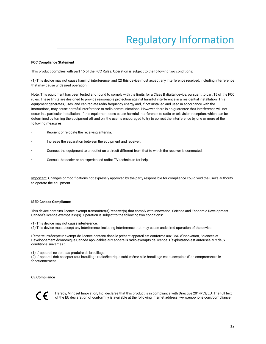#### <span id="page-11-0"></span>**FCC Compliance Statement**

This product complies with part 15 of the FCC Rules. Operation is subject to the following two conditions:

(1) This device may not cause harmful interference, and (2) this device must accept any interference received, including interference that may cause undesired operation.

Note: This equipment has been tested and found to comply with the limits for a Class B digital device, pursuant to part 15 of the FCC rules. These limits are designed to provide reasonable protection against harmful interference in a residential installation. This equipment generates, uses, and can radiate radio frequency energy and, if not installed and used in accordance with the instructions, may cause harmful interference to radio communications. However, there is no guarantee that interference will not occur in a particular installation. If this equipment does cause harmful interference to radio or television reception, which can be determined by turning the equipment off and on, the user is encouraged to try to correct the interference by one or more of the following measures:

- Reorient or relocate the receiving antenna.
- Increase the separation between the equipment and receiver.
- Connect the equipment to an outlet on a circuit different from that to which the receiver is connected.
- Consult the dealer or an experienced radio/ TV technician for help.

Important: Changes or modifications not expressly approved by the party responsible for compliance could void the user's authority to operate the equipment.

#### **ISED Canada Compliance**

This device contains licence-exempt transmitter(s)/receiver(s) that comply with Innovation, Science and Economic Development Canada's licence-exempt RSS(s). Operation is subject to the following two conditions:

(1) This device may not cause interference.

(2) This device must accept any interference, including interference that may cause undesired operation of the device.

L'émetteur/récepteur exempt de licence contenu dans le présent appareil est conforme aux CNR d'Innovation, Sciences et Développement économique Canada applicables aux appareils radio exempts de licence. L'exploitation est autorisée aux deux conditions suivantes :

(1) L' appareil ne doit pas produire de brouillage;

(2) L' appareil doit accepter tout brouillage radioélectrique subi, même si le brouillage est susceptible d' en compromettre le fonctionnement.

#### **CE Compliance**



Hereby, Mindset Innovation, Inc. declares that this product is in compliance with Directive 2014/53/EU. The full text of the EU declaration of conformity is available at the following internet address: www.enophone.com/compliance